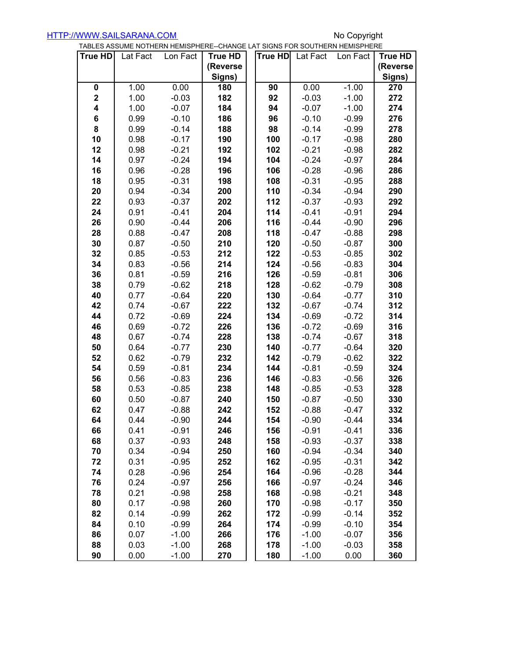|                |          | TABLES ASSUME NOTHERN HEMISPHERE--CHANGE LAT SIGNS FOR SOUTHERN HEMISPHERE |                |  |         |          |          |          |
|----------------|----------|----------------------------------------------------------------------------|----------------|--|---------|----------|----------|----------|
| <b>True HD</b> | Lat Fact | Lon Fact                                                                   | <b>True HD</b> |  | True HD | Lat Fact | Lon Fact | True HD  |
|                |          |                                                                            | (Reverse       |  |         |          |          | (Reverse |
|                |          |                                                                            | Signs)         |  |         |          |          | Signs)   |
| 0              | 1.00     | 0.00                                                                       | 180            |  | 90      | 0.00     | $-1.00$  | 270      |
| $\mathbf 2$    | 1.00     | $-0.03$                                                                    | 182            |  | 92      | $-0.03$  | $-1.00$  | 272      |
| 4              | 1.00     | $-0.07$                                                                    | 184            |  | 94      | $-0.07$  | $-1.00$  | 274      |
| 6              | 0.99     | $-0.10$                                                                    | 186            |  | 96      | $-0.10$  | $-0.99$  | 276      |
| 8              | 0.99     | $-0.14$                                                                    | 188            |  | 98      | $-0.14$  | $-0.99$  | 278      |
| 10             | 0.98     | $-0.17$                                                                    | 190            |  | 100     | $-0.17$  | $-0.98$  | 280      |
| 12             | 0.98     | $-0.21$                                                                    | 192            |  | 102     | $-0.21$  | $-0.98$  | 282      |
| 14             | 0.97     | $-0.24$                                                                    | 194            |  | 104     | $-0.24$  | $-0.97$  | 284      |
| 16             | 0.96     | $-0.28$                                                                    | 196            |  | 106     | $-0.28$  | $-0.96$  | 286      |
| 18             | 0.95     | $-0.31$                                                                    | 198            |  | 108     | $-0.31$  | $-0.95$  | 288      |
| 20             | 0.94     | $-0.34$                                                                    | 200            |  | 110     | $-0.34$  | $-0.94$  | 290      |
| 22             | 0.93     | $-0.37$                                                                    | 202            |  | 112     | $-0.37$  | $-0.93$  | 292      |
| 24             | 0.91     | $-0.41$                                                                    | 204            |  | 114     | $-0.41$  | $-0.91$  | 294      |
| 26             | 0.90     | $-0.44$                                                                    | 206            |  | 116     | $-0.44$  | $-0.90$  | 296      |
| 28             | 0.88     | $-0.47$                                                                    | 208            |  | 118     | $-0.47$  | $-0.88$  | 298      |
| 30             | 0.87     | $-0.50$                                                                    | 210            |  | 120     | $-0.50$  | $-0.87$  | 300      |
| 32             | 0.85     | $-0.53$                                                                    | 212            |  | 122     | $-0.53$  | $-0.85$  | 302      |
| 34             | 0.83     | $-0.56$                                                                    | 214            |  | 124     | $-0.56$  | $-0.83$  | 304      |
| 36             | 0.81     | $-0.59$                                                                    | 216            |  | 126     | $-0.59$  | $-0.81$  | 306      |
| 38             | 0.79     | $-0.62$                                                                    | 218            |  | 128     | $-0.62$  | $-0.79$  | 308      |
| 40             | 0.77     | $-0.64$                                                                    | 220            |  | 130     | $-0.64$  | $-0.77$  | 310      |
| 42             | 0.74     | $-0.67$                                                                    | 222            |  | 132     | $-0.67$  | $-0.74$  | 312      |
| 44             | 0.72     | $-0.69$                                                                    | 224            |  | 134     | $-0.69$  | $-0.72$  | 314      |
| 46             | 0.69     | $-0.72$                                                                    | 226            |  | 136     | $-0.72$  | $-0.69$  | 316      |
| 48             | 0.67     | $-0.74$                                                                    | 228            |  | 138     | $-0.74$  | $-0.67$  | 318      |
| 50             | 0.64     | $-0.77$                                                                    | 230            |  | 140     | $-0.77$  | $-0.64$  | 320      |
| 52             | 0.62     | $-0.79$                                                                    | 232            |  | 142     | $-0.79$  | $-0.62$  | 322      |
| 54             | 0.59     | $-0.81$                                                                    | 234            |  | 144     | $-0.81$  | $-0.59$  | 324      |
| 56             | 0.56     | $-0.83$                                                                    | 236            |  | 146     | $-0.83$  | $-0.56$  | 326      |
| 58             | 0.53     | $-0.85$                                                                    | 238            |  | 148     | $-0.85$  | $-0.53$  | 328      |
| 60             | 0.50     | $-0.87$                                                                    | 240            |  | 150     | $-0.87$  | $-0.50$  | 330      |
| 62             | 0.47     | $-0.88$                                                                    | 242            |  | 152     | $-0.88$  | $-0.47$  | 332      |
| 64             | 0.44     | $-0.90$                                                                    | 244            |  | 154     | $-0.90$  | $-0.44$  | 334      |
| 66             | 0.41     | $-0.91$                                                                    | 246            |  | 156     | $-0.91$  | $-0.41$  | 336      |
| 68             | 0.37     | $-0.93$                                                                    | 248            |  | 158     | $-0.93$  | $-0.37$  | 338      |
| 70             | 0.34     | $-0.94$                                                                    | 250            |  | 160     | $-0.94$  | $-0.34$  | 340      |
|                |          |                                                                            |                |  |         |          |          |          |
| 72             | 0.31     | $-0.95$                                                                    | 252            |  | 162     | $-0.95$  | $-0.31$  | 342      |
| 74             | 0.28     | $-0.96$                                                                    | 254            |  | 164     | $-0.96$  | $-0.28$  | 344      |
| 76             | 0.24     | $-0.97$                                                                    | 256            |  | 166     | $-0.97$  | $-0.24$  | 346      |
| 78             | 0.21     | $-0.98$                                                                    | 258            |  | 168     | $-0.98$  | $-0.21$  | 348      |
| 80             | 0.17     | $-0.98$                                                                    | 260            |  | 170     | $-0.98$  | $-0.17$  | 350      |
| 82             | 0.14     | $-0.99$                                                                    | 262            |  | 172     | $-0.99$  | $-0.14$  | 352      |
| 84             | 0.10     | $-0.99$                                                                    | 264            |  | 174     | $-0.99$  | $-0.10$  | 354      |
| 86             | 0.07     | $-1.00$                                                                    | 266            |  | 176     | $-1.00$  | $-0.07$  | 356      |
| 88             | 0.03     | $-1.00$                                                                    | 268            |  | 178     | $-1.00$  | $-0.03$  | 358      |
| 90             | 0.00     | $-1.00$                                                                    | 270            |  | 180     | $-1.00$  | 0.00     | 360      |